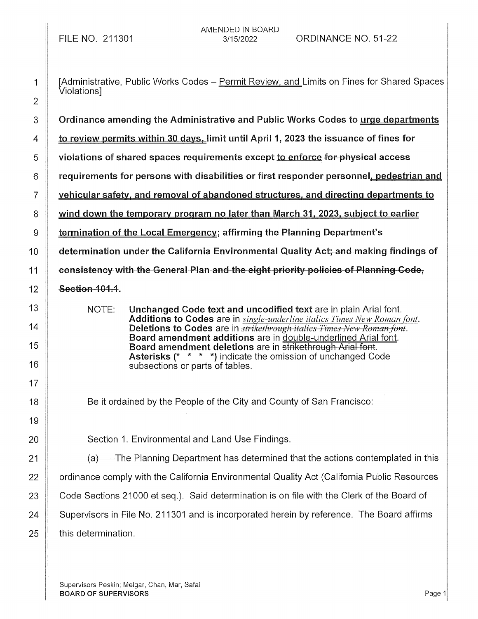| 1              | [Administrative, Public Works Codes - Permit Review, and Limits on Fines for Shared Spaces<br>Violations]                                                         |
|----------------|-------------------------------------------------------------------------------------------------------------------------------------------------------------------|
| $\overline{2}$ |                                                                                                                                                                   |
| 3              | Ordinance amending the Administrative and Public Works Codes to urge departments                                                                                  |
| 4              | to review permits within 30 days, limit until April 1, 2023 the issuance of fines for                                                                             |
| 5              | violations of shared spaces requirements except to enforce for physical access                                                                                    |
| 6              | requirements for persons with disabilities or first responder personnel, pedestrian and                                                                           |
| 7              | vehicular safety, and removal of abandoned structures, and directing departments to                                                                               |
| 8              | wind down the temporary program no later than March 31, 2023, subject to earlier                                                                                  |
| 9              | termination of the Local Emergency; affirming the Planning Department's                                                                                           |
| 10             | determination under the California Environmental Quality Act; and making findings of                                                                              |
| 11             | consistency with the General Plan and the eight priority policies of Planning Code,                                                                               |
| 12             | Section 101.1.                                                                                                                                                    |
| 13             | NOTE:<br>Unchanged Code text and uncodified text are in plain Arial font.                                                                                         |
| 14             | Additions to Codes are in <i>single-underline italics Times New Roman font</i> .<br>Deletions to Codes are in <i>strikethrough italics Times New Roman font</i> . |
| 15             | Board amendment additions are in double-underlined Arial font.<br>Board amendment deletions are in strikethrough Arial font.                                      |
| 16             | <b>Asterisks (* * * *)</b> indicate the omission of unchanged Code<br>subsections or parts of tables.                                                             |
| 17             |                                                                                                                                                                   |
| 18             | Be it ordained by the People of the City and County of San Francisco:                                                                                             |
| 19             |                                                                                                                                                                   |
| 20             | Section 1. Environmental and Land Use Findings.                                                                                                                   |
| 21             | $(a)$ The Planning Department has determined that the actions contemplated in this                                                                                |
| 22             | ordinance comply with the California Environmental Quality Act (California Public Resources                                                                       |
| 23             | Code Sections 21000 et seq.). Said determination is on file with the Clerk of the Board of                                                                        |
| 24             | Supervisors in File No. 211301 and is incorporated herein by reference. The Board affirms                                                                         |
| 25             | this determination.                                                                                                                                               |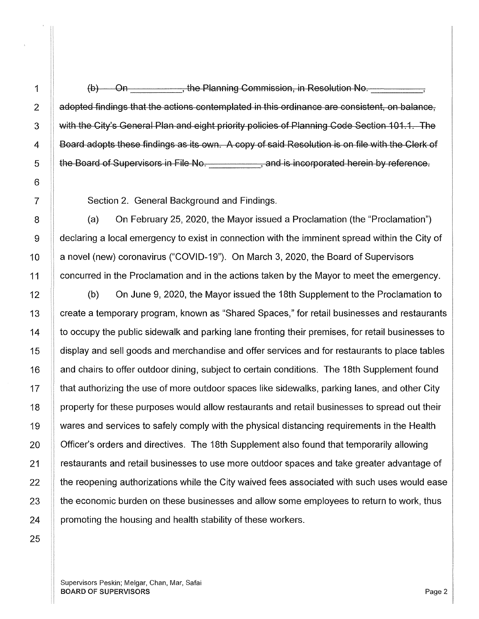$(b)$  On  $\qquad \qquad$  the Planning Commission, in Resolution No. adopted findings that the actions contemplated in this ordinance are consistent, on balance, with the City's General Plan and eight priority policies of Planning Code Section 101.1. The Board adopts these findings as its own. A copy of said Resolution is on file with the Clerk of the Board of Supervisors in File No. \_\_\_\_\_\_\_\_\_\_\_, and is incorporated herein by reference.

Section 2. General Background and Findings.

(a) On February 25, 2020, the Mayor issued a Proclamation (the "Proclamation") 9 | declaring a local emergency to exist in connection with the imminent spread within the City of 10 | a novel (new) coronavirus ("COVID-19"). On March 3, 2020, the Board of Supervisors 11 concurred in the Proclamation and in the actions taken by the Mayor to meet the emergency.

12 (b) On June 9, 2020, the Mayor issued the 18th Supplement to the Proclamation to 13 | create a temporary program, known as "Shared Spaces," for retail businesses and restaurants 14 **the occupy the public sidewalk and parking lane fronting their premises, for retail businesses to** 15 | display and sell goods and merchandise and offer services and for restaurants to place tables 16 and chairs to offer outdoor dining, subject to certain conditions. The 18th Supplement found 17 **that authorizing the use of more outdoor spaces like sidewalks, parking lanes, and other City** 18 | property for these purposes would allow restaurants and retail businesses to spread out their 19 10 wares and services to safely comply with the physical distancing requirements in the Health 20 **Supplem 20** Officer's orders and directives. The 18th Supplement also found that temporarily allowing 21 | restaurants and retail businesses to use more outdoor spaces and take greater advantage of  $22$   $\parallel$  the reopening authorizations while the City waived fees associated with such uses would ease  $23$   $\parallel$  the economic burden on these businesses and allow some employees to return to work, thus  $24$  | promoting the housing and health stability of these workers.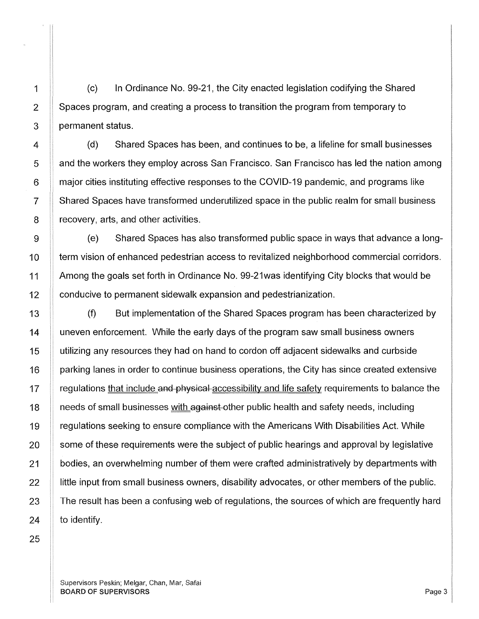(c) In Ordinance No. 99-21, the City enacted legislation codifying the Shared Spaces program, and creating a process to transition the program from temporary to permanent status.

(d) Shared Spaces has been, and continues to be, a lifeline for small businesses and the workers they employ across San Francisco. San Francisco has led the nation among major cities instituting effective responses to the COVID-19 pandemic, and programs like Shared Spaces have transformed underutilized space in the public realm for small business recovery, arts, and other activities.

(e) Shared Spaces has also transformed public space in ways that advance a long-10 | term vision of enhanced pedestrian access to revitalized neighborhood commercial corridors. 11 Among the goals set forth in Ordinance No. 99-21 was identifying City blocks that would be 12 | conducive to permanent sidewalk expansion and pedestrianization.

(f) But implementation of the Shared Spaces program has been characterized by uneven enforcement. While the early days of the program saw small business owners utilizing any resources they had on hand to cordon off adjacent sidewalks and curbside parking lanes in order to continue business operations, the City has since created extensive regulations that include and physical accessibility and life safety requirements to balance the needs of small businesses with against-other public health and safety needs, including regulations seeking to ensure compliance with the Americans With Disabilities Act. While some of these requirements were the subject of public hearings and approval by legislative bodies, an overwhelming number of them were crafted administratively by departments with little input from small business owners, disability advocates, or other members of the public. The result has been a confusing web of regulations, the sources of which are frequently hard to identify.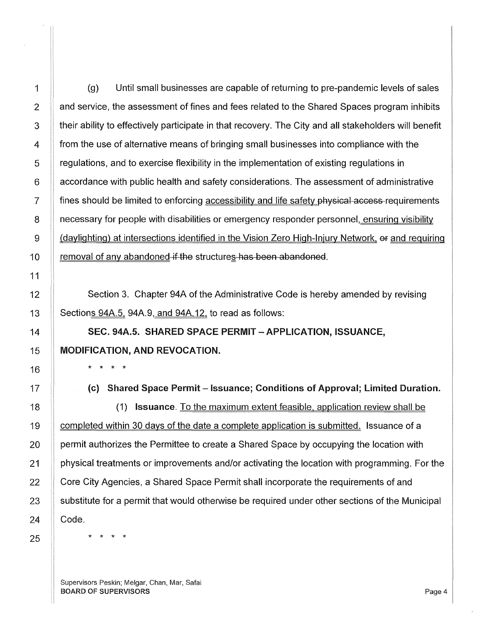$1$  (g) Until small businesses are capable of returning to pre-pandemic levels of sales 2 | and service, the assessment of fines and fees related to the Shared Spaces program inhibits 3 their ability to effectively participate in that recovery. The City and all stakeholders will benefit 4 from the use of alternative means of bringing small businesses into compliance with the 5 regulations, and to exercise flexibility in the implementation of existing regulations in 6 **6 accordance with public health and safety considerations. The assessment of administrative** 7 **fines should be limited to enforcing accessibility and life safety physical access requirements** 8 **8 necessary for people with disabilities or emergency responder personnel, ensuring visibility** 9 (daylighting) at intersections identified in the Vision Zero High-Injury Network, of and requiring 10  $\parallel$  removal of any abandoned-if-the structures has been abandoned.

Section 3. Chapter 94A of the Administrative Code is hereby amended by revising Sections 94A.5, 94A.9, and 94A.12, to read as follows:

SEC. 94A.5. SHARED SPACE PERMIT - APPLICATION, ISSUANCE, MODIFICATION, AND REVOCATION.

(c) Shared Space Permit – Issuance; Conditions of Approval; Limited Duration.

(1) Issuance. To the maximum extent feasible, application review shall be completed within 30 days of the date a complete application is submitted. Issuance of a permit authorizes the Permittee to create a Shared Space by occupying the location with physical treatments or improvements and/or activating the location with programming. For the Core City Agencies, a Shared Space Permit shall incorporate the requirements of and substitute for a permit that would otherwise be required under other sections of the Municipal Code.

\* \* \* \*

\* \* \* \*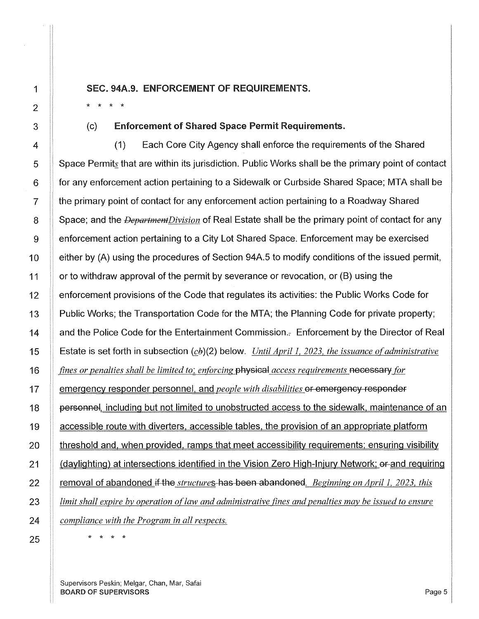SEC. 94A.9. ENFORCEMENT OF REQUIREMENTS.

(c) Enforcement of Shared Space Permit Requirements.

(1) Each Core City Agency shall enforce the requirements of the Shared Space Permits that are within its jurisdiction. Public Works shall be the primary point of contact for any enforcement action pertaining to a Sidewalk or Curbside Shared Space; MTA shall be the primary point of contact for any enforcement action pertaining to a Roadway Shared Space; and the *DepartmentDivision* of Real Estate shall be the primary point of contact for any enforcement action pertaining to a City Lot Shared Space. Enforcement may be exercised either by (A) using the procedures of Section 94A.5 to modify conditions of the issued permit, or to withdraw approval of the permit by severance or revocation, or (B) using the enforcement provisions of the Code that regulates its activities: the Public Works Code for Public Works; the Transportation Code for the MTA; the Planning Code for private property; and the Police Code for the Entertainment Commission.:- Enforcement by the Director of Real Estate is set forth in subsection (cb)(2) below. *Until April 1, 2023, the issuance of administrative fines or penalties shall be limited to: enforcing* physical *access requirements* necessary *for*  emergency responder personnel, and *people with disabilities* or emergency responder personnel, including but not limited to unobstructed access to the sidewalk, maintenance of an accessible route with diverters. accessible tables, the provision of an appropriate platform threshold and, when provided, ramps that meet accessibility requirements; ensuring visibility (daylighting) at intersections identified in the Vision Zero High-Injury Network; er and requiring removal of abandoned if the *structure* s-has been abandoned. *Beginning on April 1, 2023, this limit shall expire by operation of law and administrative fines and penalties may be issued to ensure compliance with the Program in all respects.* 

\* \* \* \*

1

\* \* \* \*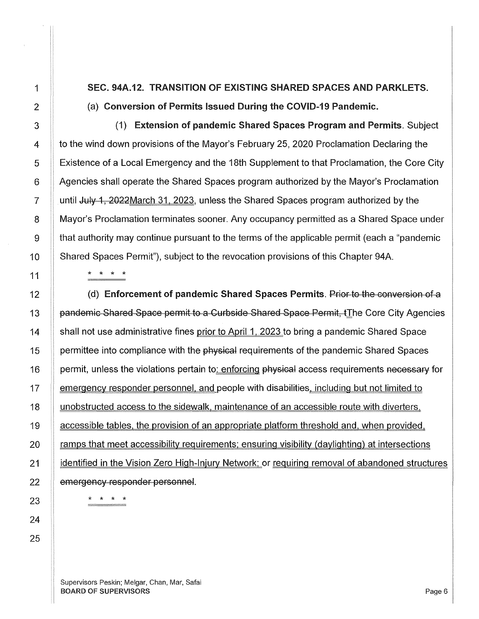SEC. 94A.12. TRANSITION OF EXISTING SHARED SPACES AND PARKLETS. (a) Conversion of Permits Issued During the COVID-19 Pandemic.

(1) Extension of pandemic Shared Spaces Program and Permits. Subject to the wind down provisions of the Mayor's February 25, 2020 Proclamation Declaring the Existence of a Local Emergency and the 18th Supplement to that Proclamation, the Core City Agencies shall operate the Shared Spaces program authorized by the Mayor's Proclamation until July 1, 2022March 31. 2023, unless the Shared Spaces program authorized by the Mayor's Proclamation terminates sooner. Any occupancy permitted as a Shared Space under that authority may continue pursuant to the terms of the applicable permit (each a "pandemic Shared Spaces Permit"), subject to the revocation provisions of this Chapter 94A.

\* \* \* \*

(d) Enforcement of pandemic Shared Spaces Permits. Prior to the conversion of a pandemic Shared Space permit to a Curbside Shared Space Permit. The Core City Agencies shall not use administrative fines prior to April 1. 2023 to bring a pandemic Shared Space permittee into compliance with the physical requirements of the pandemic Shared Spaces permit, unless the violations pertain to: enforcing physical access requirements necessary for emergency responder personnel, and people with disabilities, including but not limited to unobstructed access to the sidewalk, maintenance of an accessible route with diverters, accessible tables, the provision of an appropriate platform threshold and, when provided, ramps that meet accessibility requirements; ensuring visibility (daylighting) at intersections identified in the Vision Zero High-Injury Network; or requiring removal of abandoned structures emergency responder personnel.

\* \* \* \*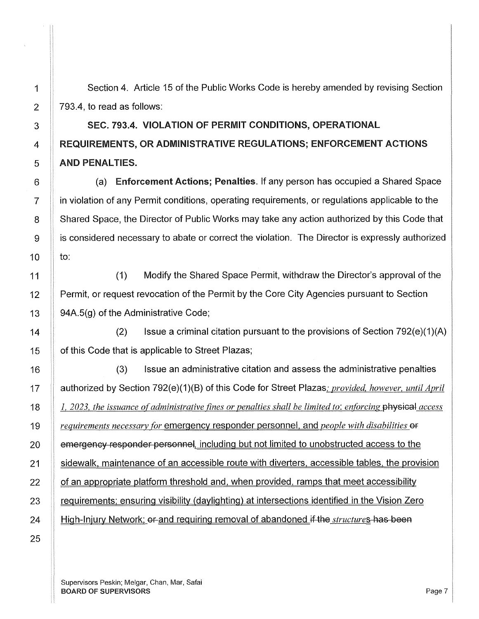1 Section 4. Article 15 of the Public Works Code is hereby amended by revising Section  $2 \parallel 793.4$ , to read as follows:

## 3 SEC. 793.4. VIOLATION OF PERMIT CONDITIONS, OPERATIONAL 4 REQUIREMENTS, OR ADMINISTRATIVE REGULATIONS; ENFORCEMENT ACTIONS 5 AND PENALTIES.

6 **(a)** Enforcement Actions; Penalties. If any person has occupied a Shared Space 7 in violation of any Permit conditions, operating requirements, or regulations applicable to the 8 Shared Space, the Director of Public Works may take any action authorized by this Code that 9 | is considered necessary to abate or correct the violation. The Director is expressly authorized  $\mathsf{to}:$ 

(1) Modify the Shared Space Permit, withdraw the Director's approval of the Permit, or request revocation of the Permit by the Core City Agencies pursuant to Section 94A.5(g) of the Administrative Code;

(2) Issue a criminal citation pursuant to the provisions of Section  $792(e)(1)(A)$ of this Code that is applicable to Street Plazas;

(3) Issue an administrative citation and assess the administrative penalties authorized by Section 792(e)(1)(B) of this Code for Street Plazas; *provided, however, until April I, 2023, the issuance of administrative fines or penalties shall be limited to: enforcing* physical *access requirements necessary for emergency responder personnel, and <i>people with disabilities*  $\theta$ f emergency responder personnel, including but not limited to unobstructed access to the sidewalk. maintenance of an accessible route with diverters. accessible tables, the provision of an appropriate platform threshold and, when provided. ramps that meet accessibility requirements; ensuring visibility (daylighting) at intersections identified in the Vision Zero High-Injury Network;  $\theta$ -and requiring removal of abandoned if the *structure* s-has been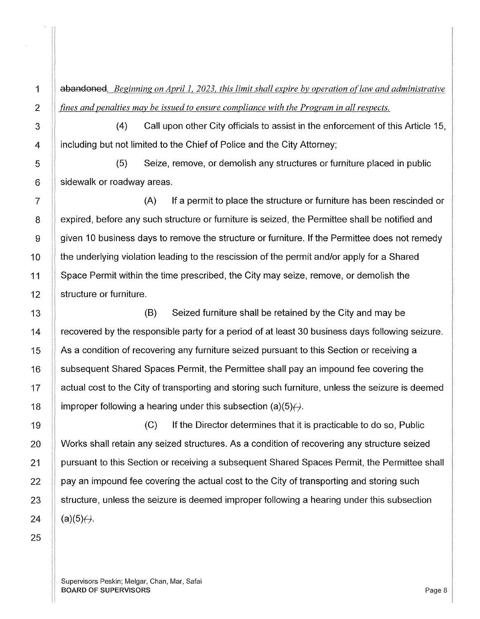abandoned. *Beginning on April 1, 2023, this limit shall expire by operation of law and administrative fines and penalties may be issued to ensure compliance with the Program in all respects.* 

(4) Call upon other City officials to assist in the enforcement of this Article 15, including but not limited to the Chief of Police and the City Attorney;

(5) Seize, remove, or demolish any structures or furniture placed in public sidewalk or roadway areas.

(A) If a permit to place the structure or furniture has been rescinded or expired, before any such structure or furniture is seized, the Permittee shall be notified and given 10 business days to remove the structure or furniture. If the Permittee does not remedy the underlying violation leading to the rescission of the permit and/or apply for a Shared Space Permit within the time prescribed, the City may seize, remove, or demolish the structure or furniture.

(B) Seized furniture shall be retained by the City and may be recovered by the responsible party for a period of at least 30 business days following seizure. As a condition of recovering any furniture seized pursuant to this Section or receiving a subsequent Shared Spaces Permit, the Permittee shall pay an impound fee covering the actual cost to the City of transporting and storing such furniture, unless the seizure is deemed improper following a hearing under this subsection  $(a)(5)$ .

(C) If the Director determines that it is practicable to do so, Public Works shall retain any seized structures. As a condition of recovering any structure seized pursuant to this Section or receiving a subsequent Shared Spaces Permit, the Permittee shall pay an impound fee covering the actual cost to the City of transporting and storing such structure, unless the seizure is deemed improper following a hearing under this subsection  $(a)(5)$ <sup> $\leftrightarrow$ </sup>.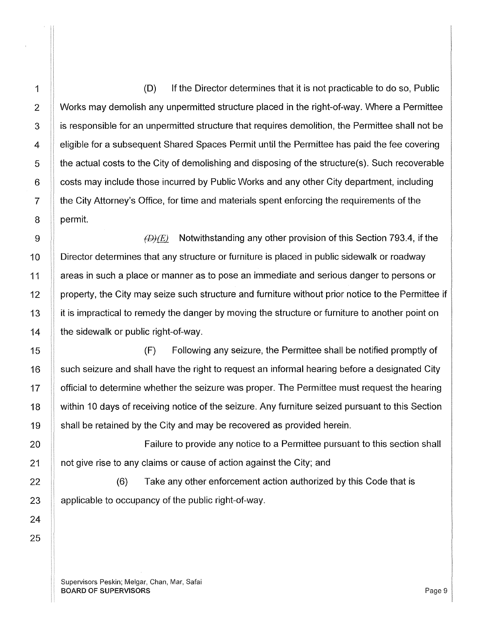(D) If the Director determines that it is not practicable to do so, Public Works may demolish any unpermitted structure placed in the right-of-way. Where a Permittee is responsible for an unpermitted structure that requires demolition, the Permittee shall not be eligible for a subsequent Shared Spaces Permit until the Permittee has paid the fee covering the actual costs to the City of demolishing and disposing of the structure(s). Such recoverable costs may include those incurred by Public Works and any other City department, including the City Attorney's Office, for time and materials spent enforcing the requirements of the permit.

 $f(x)$  Notwithstanding any other provision of this Section 793.4, if the Director determines that any structure or furniture is placed in public sidewalk or roadway areas in such a place or manner as to pose an immediate and serious danger to persons or property, the City may seize such structure and furniture without prior notice to the Permittee if it is impractical to remedy the danger by moving the structure or furniture to another point on the sidewalk or public right-of-way.

(F) Following any seizure, the Permittee shall be notified promptly of such seizure and shall have the right to request an informal hearing before a designated City official to determine whether the seizure was proper. The Permittee must request the hearing within 10 days of receiving notice of the seizure. Any furniture seized pursuant to this Section shall be retained by the City and may be recovered as provided herein.

Failure to provide any notice to a Permittee pursuant to this section shall not give rise to any claims or cause of action against the City; and

(6) Take any other enforcement action authorized by this Code that is applicable to occupancy of the public right-of-way.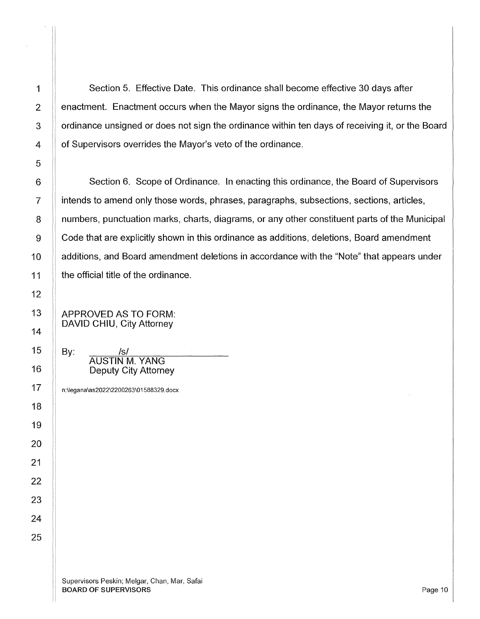Section 5. Effective Date. This ordinance shall become effective 30 days after enactment. Enactment occurs when the Mayor signs the ordinance, the Mayor returns the ordinance unsigned or does not sign the ordinance within ten days of receiving it, or the Board of Supervisors overrides the Mayor's veto of the ordinance.

Section 6. Scope of Ordinance. In enacting this ordinance, the Board of Supervisors intends to amend only those words, phrases, paragraphs, subsections, sections, articles, numbers, punctuation marks, charts, diagrams, or any other constituent parts of the Municipal Code that are explicitly shown in this ordinance as additions, deletions, Board amendment additions, and Board amendment deletions in accordance with the "Note" that appears under the official title of the ordinance.

APPROVED AS TO FORM: DAVID CHIU, City Attorney

 $\mathsf{By:}$  /s/ AUSTIN M. YANG Deputy City Attorney

n:\legana\as2022\2200263\01588329.docx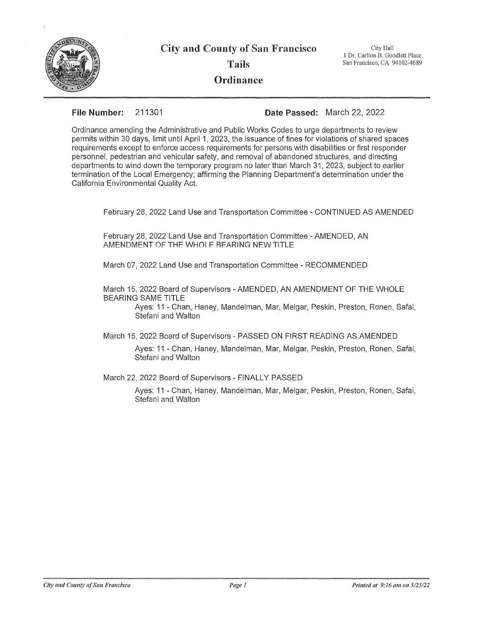

City and County of San Francisco

Tails

**Ordinance** 

City Hall 1 Dr. Carlton B. Goodlett Place San Francisco, CA 94102-4689

**File Number:** 211301 **Date** Passed: March 22, 2022

Ordinance amending the Administrative and Public Works Codes to urge departments to review permits within 30 days, limit until April 1, 2023, the issuance of fines for violations of shared spaces requirements except to enforce access requirements for persons with disabilities or first responder personnel, pedestrian and vehicular safety, and removal of abandoned structures, and directing departments to wind down the temporary program no later than March 31, 2023, subject to earlier termination of the Local Emergency; affirming the Planning Department's determination under the California Environmental Quality Act.

February 28, 2022 Land Use and Transportation Committee - CONTINUED AS AMENDED

February 28, 2022 Land Use and Transportation Committee - AMENDED, AN AMENDMENT OF THE WHOI F REARING NEW TITLE

March 07, 2022 Land Use and Transportation Committee - RECOMMENDED

March 15, 2022 Board of Supervisors -AMENDED, AN AMENDMENT OF THE WHOLE BEARING SAME TITLE

Ayes: 11 - Chan, Haney, Mandelman, Mar, Melgar, Peskin, Preston, Ronen, Safai, Stefani and Walton

March 15, 2022 Board of Supervisors - PASSED ON FIRST READING AS AMENDED

Ayes: 11 - Chan, Haney, Mandelman, Mar, Melgar, Peskin, Preston, Ronen, Safai, Stefani and Walton

March 22, 2022 Board of Supervisors - FINALLY PASSED

Ayes: 11 - Chan, Haney, Mandelman, Mar, Melgar, Peskin, Preston, Ronen, Safai, Stefani and Walton